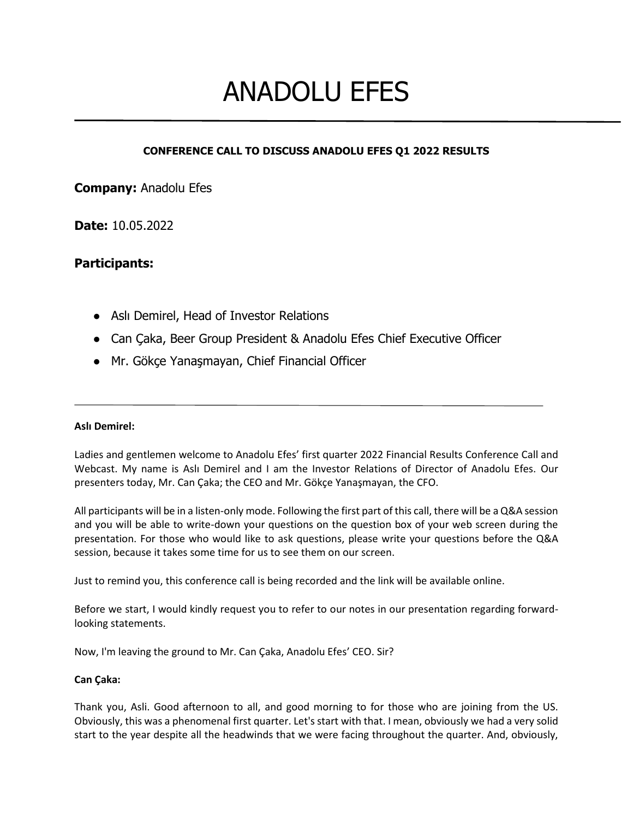# ANADOLU EFES

# **CONFERENCE CALL TO DISCUSS ANADOLU EFES Q1 2022 RESULTS**

**Company:** Anadolu Efes

**Date:** 10.05.2022

# **Participants:**

- Aslı Demirel, Head of Investor Relations
- Can Çaka, Beer Group President & Anadolu Efes Chief Executive Officer
- Mr. Gökçe Yanaşmayan, Chief Financial Officer

## **Aslı Demirel:**

Ladies and gentlemen welcome to Anadolu Efes' first quarter 2022 Financial Results Conference Call and Webcast. My name is Aslı Demirel and I am the Investor Relations of Director of Anadolu Efes. Our presenters today, Mr. Can Çaka; the CEO and Mr. Gökçe Yanaşmayan, the CFO.

All participants will be in a listen-only mode. Following the first part of this call, there will be a Q&A session and you will be able to write-down your questions on the question box of your web screen during the presentation. For those who would like to ask questions, please write your questions before the Q&A session, because it takes some time for us to see them on our screen.

Just to remind you, this conference call is being recorded and the link will be available online.

Before we start, I would kindly request you to refer to our notes in our presentation regarding forwardlooking statements.

Now, I'm leaving the ground to Mr. Can Çaka, Anadolu Efes' CEO. Sir?

## **Can Çaka:**

Thank you, Asli. Good afternoon to all, and good morning to for those who are joining from the US. Obviously, this was a phenomenal first quarter. Let's start with that. I mean, obviously we had a very solid start to the year despite all the headwinds that we were facing throughout the quarter. And, obviously,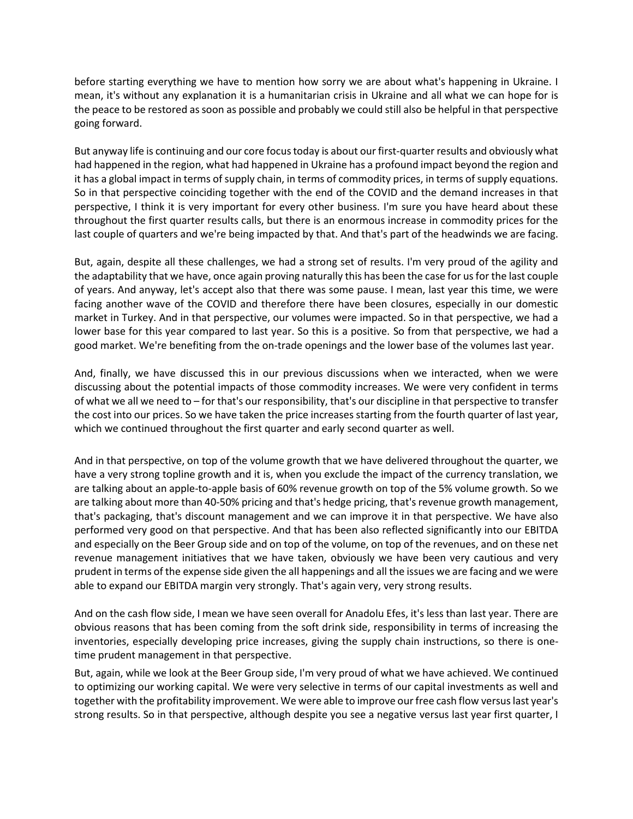before starting everything we have to mention how sorry we are about what's happening in Ukraine. I mean, it's without any explanation it is a humanitarian crisis in Ukraine and all what we can hope for is the peace to be restored as soon as possible and probably we could still also be helpful in that perspective going forward.

But anyway life is continuing and our core focus today is about our first-quarter results and obviously what had happened in the region, what had happened in Ukraine has a profound impact beyond the region and it has a global impact in terms of supply chain, in terms of commodity prices, in terms of supply equations. So in that perspective coinciding together with the end of the COVID and the demand increases in that perspective, I think it is very important for every other business. I'm sure you have heard about these throughout the first quarter results calls, but there is an enormous increase in commodity prices for the last couple of quarters and we're being impacted by that. And that's part of the headwinds we are facing.

But, again, despite all these challenges, we had a strong set of results. I'm very proud of the agility and the adaptability that we have, once again proving naturally this has been the case for us for the last couple of years. And anyway, let's accept also that there was some pause. I mean, last year this time, we were facing another wave of the COVID and therefore there have been closures, especially in our domestic market in Turkey. And in that perspective, our volumes were impacted. So in that perspective, we had a lower base for this year compared to last year. So this is a positive. So from that perspective, we had a good market. We're benefiting from the on-trade openings and the lower base of the volumes last year.

And, finally, we have discussed this in our previous discussions when we interacted, when we were discussing about the potential impacts of those commodity increases. We were very confident in terms of what we all we need to – for that's our responsibility, that's our discipline in that perspective to transfer the cost into our prices. So we have taken the price increases starting from the fourth quarter of last year, which we continued throughout the first quarter and early second quarter as well.

And in that perspective, on top of the volume growth that we have delivered throughout the quarter, we have a very strong topline growth and it is, when you exclude the impact of the currency translation, we are talking about an apple-to-apple basis of 60% revenue growth on top of the 5% volume growth. So we are talking about more than 40-50% pricing and that's hedge pricing, that's revenue growth management, that's packaging, that's discount management and we can improve it in that perspective. We have also performed very good on that perspective. And that has been also reflected significantly into our EBITDA and especially on the Beer Group side and on top of the volume, on top of the revenues, and on these net revenue management initiatives that we have taken, obviously we have been very cautious and very prudent in terms of the expense side given the all happenings and all the issues we are facing and we were able to expand our EBITDA margin very strongly. That's again very, very strong results.

And on the cash flow side, I mean we have seen overall for Anadolu Efes, it's less than last year. There are obvious reasons that has been coming from the soft drink side, responsibility in terms of increasing the inventories, especially developing price increases, giving the supply chain instructions, so there is onetime prudent management in that perspective.

But, again, while we look at the Beer Group side, I'm very proud of what we have achieved. We continued to optimizing our working capital. We were very selective in terms of our capital investments as well and together with the profitability improvement. We were able to improve our free cash flow versus last year's strong results. So in that perspective, although despite you see a negative versus last year first quarter, I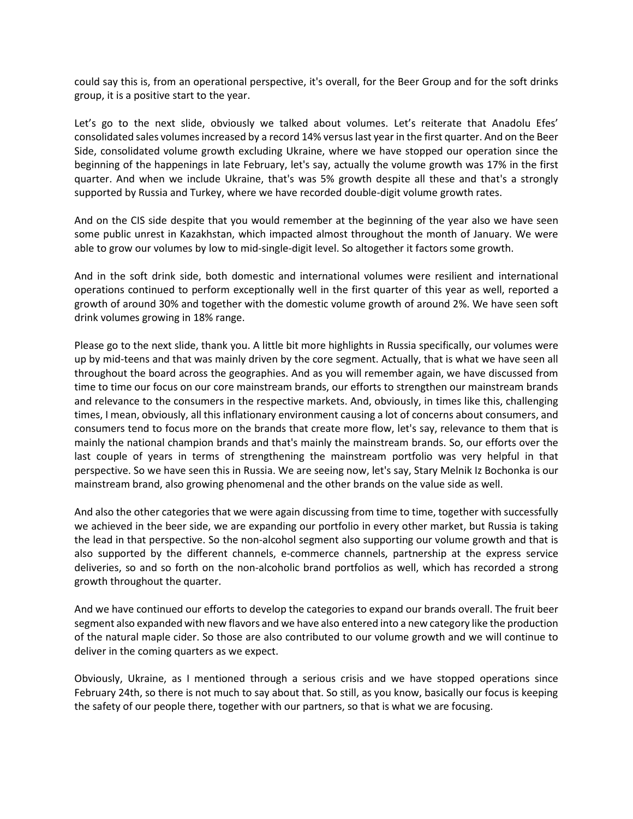could say this is, from an operational perspective, it's overall, for the Beer Group and for the soft drinks group, it is a positive start to the year.

Let's go to the next slide, obviously we talked about volumes. Let's reiterate that Anadolu Efes' consolidated sales volumes increased by a record 14% versus last year in the first quarter. And on the Beer Side, consolidated volume growth excluding Ukraine, where we have stopped our operation since the beginning of the happenings in late February, let's say, actually the volume growth was 17% in the first quarter. And when we include Ukraine, that's was 5% growth despite all these and that's a strongly supported by Russia and Turkey, where we have recorded double-digit volume growth rates.

And on the CIS side despite that you would remember at the beginning of the year also we have seen some public unrest in Kazakhstan, which impacted almost throughout the month of January. We were able to grow our volumes by low to mid-single-digit level. So altogether it factors some growth.

And in the soft drink side, both domestic and international volumes were resilient and international operations continued to perform exceptionally well in the first quarter of this year as well, reported a growth of around 30% and together with the domestic volume growth of around 2%. We have seen soft drink volumes growing in 18% range.

Please go to the next slide, thank you. A little bit more highlights in Russia specifically, our volumes were up by mid-teens and that was mainly driven by the core segment. Actually, that is what we have seen all throughout the board across the geographies. And as you will remember again, we have discussed from time to time our focus on our core mainstream brands, our efforts to strengthen our mainstream brands and relevance to the consumers in the respective markets. And, obviously, in times like this, challenging times, I mean, obviously, all this inflationary environment causing a lot of concerns about consumers, and consumers tend to focus more on the brands that create more flow, let's say, relevance to them that is mainly the national champion brands and that's mainly the mainstream brands. So, our efforts over the last couple of years in terms of strengthening the mainstream portfolio was very helpful in that perspective. So we have seen this in Russia. We are seeing now, let's say, Stary Melnik Iz Bochonka is our mainstream brand, also growing phenomenal and the other brands on the value side as well.

And also the other categories that we were again discussing from time to time, together with successfully we achieved in the beer side, we are expanding our portfolio in every other market, but Russia is taking the lead in that perspective. So the non-alcohol segment also supporting our volume growth and that is also supported by the different channels, e-commerce channels, partnership at the express service deliveries, so and so forth on the non-alcoholic brand portfolios as well, which has recorded a strong growth throughout the quarter.

And we have continued our efforts to develop the categories to expand our brands overall. The fruit beer segment also expanded with new flavors and we have also entered into a new category like the production of the natural maple cider. So those are also contributed to our volume growth and we will continue to deliver in the coming quarters as we expect.

Obviously, Ukraine, as I mentioned through a serious crisis and we have stopped operations since February 24th, so there is not much to say about that. So still, as you know, basically our focus is keeping the safety of our people there, together with our partners, so that is what we are focusing.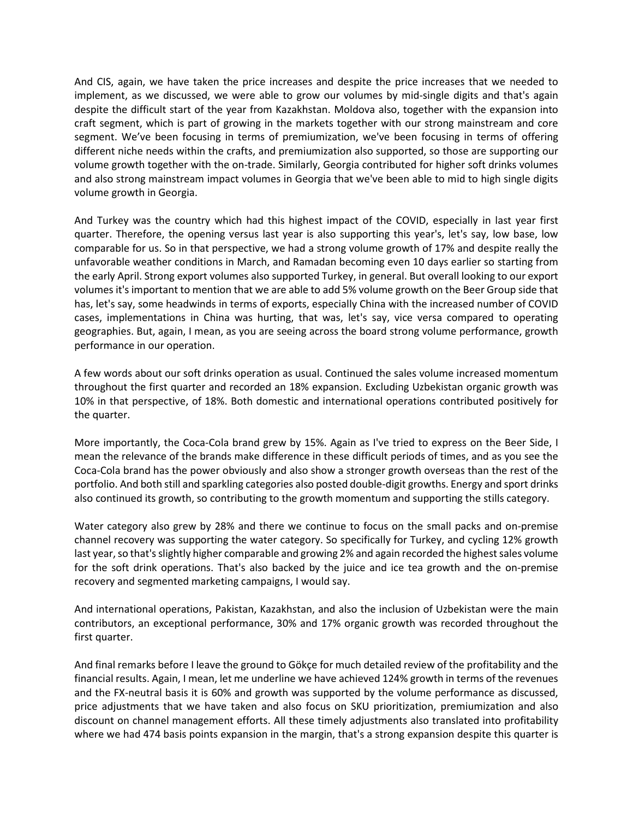And CIS, again, we have taken the price increases and despite the price increases that we needed to implement, as we discussed, we were able to grow our volumes by mid-single digits and that's again despite the difficult start of the year from Kazakhstan. Moldova also, together with the expansion into craft segment, which is part of growing in the markets together with our strong mainstream and core segment. We've been focusing in terms of premiumization, we've been focusing in terms of offering different niche needs within the crafts, and premiumization also supported, so those are supporting our volume growth together with the on-trade. Similarly, Georgia contributed for higher soft drinks volumes and also strong mainstream impact volumes in Georgia that we've been able to mid to high single digits volume growth in Georgia.

And Turkey was the country which had this highest impact of the COVID, especially in last year first quarter. Therefore, the opening versus last year is also supporting this year's, let's say, low base, low comparable for us. So in that perspective, we had a strong volume growth of 17% and despite really the unfavorable weather conditions in March, and Ramadan becoming even 10 days earlier so starting from the early April. Strong export volumes also supported Turkey, in general. But overall looking to our export volumes it's important to mention that we are able to add 5% volume growth on the Beer Group side that has, let's say, some headwinds in terms of exports, especially China with the increased number of COVID cases, implementations in China was hurting, that was, let's say, vice versa compared to operating geographies. But, again, I mean, as you are seeing across the board strong volume performance, growth performance in our operation.

A few words about our soft drinks operation as usual. Continued the sales volume increased momentum throughout the first quarter and recorded an 18% expansion. Excluding Uzbekistan organic growth was 10% in that perspective, of 18%. Both domestic and international operations contributed positively for the quarter.

More importantly, the Coca-Cola brand grew by 15%. Again as I've tried to express on the Beer Side, I mean the relevance of the brands make difference in these difficult periods of times, and as you see the Coca-Cola brand has the power obviously and also show a stronger growth overseas than the rest of the portfolio. And both still and sparkling categories also posted double-digit growths. Energy and sport drinks also continued its growth, so contributing to the growth momentum and supporting the stills category.

Water category also grew by 28% and there we continue to focus on the small packs and on-premise channel recovery was supporting the water category. So specifically for Turkey, and cycling 12% growth last year, so that's slightly higher comparable and growing 2% and again recorded the highest sales volume for the soft drink operations. That's also backed by the juice and ice tea growth and the on-premise recovery and segmented marketing campaigns, I would say.

And international operations, Pakistan, Kazakhstan, and also the inclusion of Uzbekistan were the main contributors, an exceptional performance, 30% and 17% organic growth was recorded throughout the first quarter.

And final remarks before I leave the ground to Gökçe for much detailed review of the profitability and the financial results. Again, I mean, let me underline we have achieved 124% growth in terms of the revenues and the FX-neutral basis it is 60% and growth was supported by the volume performance as discussed, price adjustments that we have taken and also focus on SKU prioritization, premiumization and also discount on channel management efforts. All these timely adjustments also translated into profitability where we had 474 basis points expansion in the margin, that's a strong expansion despite this quarter is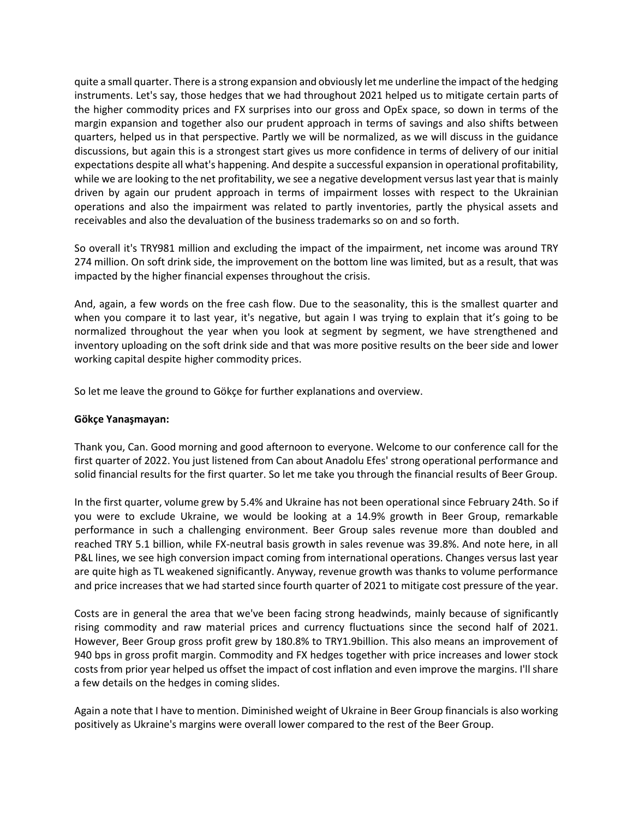quite a small quarter. There is a strong expansion and obviously let me underline the impact of the hedging instruments. Let's say, those hedges that we had throughout 2021 helped us to mitigate certain parts of the higher commodity prices and FX surprises into our gross and OpEx space, so down in terms of the margin expansion and together also our prudent approach in terms of savings and also shifts between quarters, helped us in that perspective. Partly we will be normalized, as we will discuss in the guidance discussions, but again this is a strongest start gives us more confidence in terms of delivery of our initial expectations despite all what's happening. And despite a successful expansion in operational profitability, while we are looking to the net profitability, we see a negative development versus last year that is mainly driven by again our prudent approach in terms of impairment losses with respect to the Ukrainian operations and also the impairment was related to partly inventories, partly the physical assets and receivables and also the devaluation of the business trademarks so on and so forth.

So overall it's TRY981 million and excluding the impact of the impairment, net income was around TRY 274 million. On soft drink side, the improvement on the bottom line was limited, but as a result, that was impacted by the higher financial expenses throughout the crisis.

And, again, a few words on the free cash flow. Due to the seasonality, this is the smallest quarter and when you compare it to last year, it's negative, but again I was trying to explain that it's going to be normalized throughout the year when you look at segment by segment, we have strengthened and inventory uploading on the soft drink side and that was more positive results on the beer side and lower working capital despite higher commodity prices.

So let me leave the ground to Gökçe for further explanations and overview.

#### **Gökçe Yanaşmayan:**

Thank you, Can. Good morning and good afternoon to everyone. Welcome to our conference call for the first quarter of 2022. You just listened from Can about Anadolu Efes' strong operational performance and solid financial results for the first quarter. So let me take you through the financial results of Beer Group.

In the first quarter, volume grew by 5.4% and Ukraine has not been operational since February 24th. So if you were to exclude Ukraine, we would be looking at a 14.9% growth in Beer Group, remarkable performance in such a challenging environment. Beer Group sales revenue more than doubled and reached TRY 5.1 billion, while FX-neutral basis growth in sales revenue was 39.8%. And note here, in all P&L lines, we see high conversion impact coming from international operations. Changes versus last year are quite high as TL weakened significantly. Anyway, revenue growth was thanks to volume performance and price increases that we had started since fourth quarter of 2021 to mitigate cost pressure of the year.

Costs are in general the area that we've been facing strong headwinds, mainly because of significantly rising commodity and raw material prices and currency fluctuations since the second half of 2021. However, Beer Group gross profit grew by 180.8% to TRY1.9billion. This also means an improvement of 940 bps in gross profit margin. Commodity and FX hedges together with price increases and lower stock costs from prior year helped us offset the impact of cost inflation and even improve the margins. I'll share a few details on the hedges in coming slides.

Again a note that I have to mention. Diminished weight of Ukraine in Beer Group financials is also working positively as Ukraine's margins were overall lower compared to the rest of the Beer Group.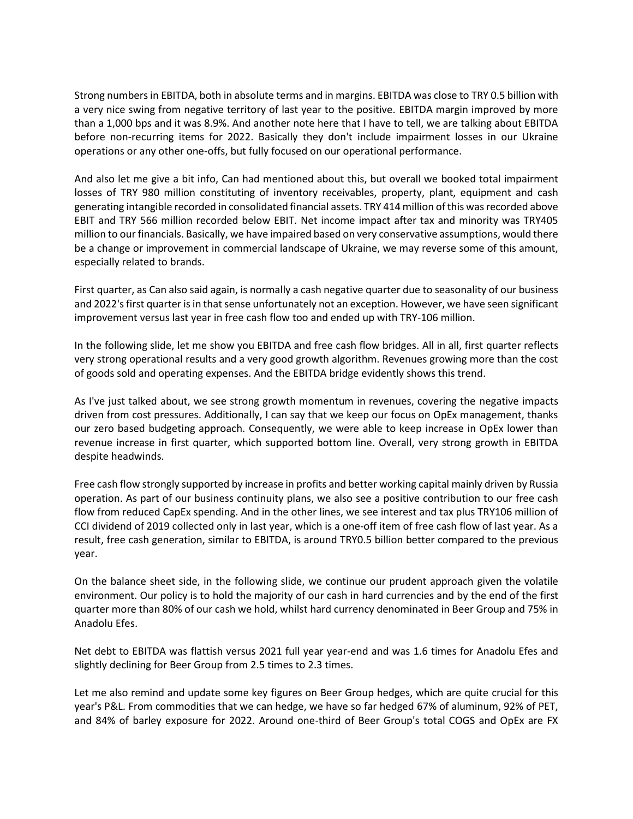Strong numbers in EBITDA, both in absolute terms and in margins. EBITDA was close to TRY 0.5 billion with a very nice swing from negative territory of last year to the positive. EBITDA margin improved by more than a 1,000 bps and it was 8.9%. And another note here that I have to tell, we are talking about EBITDA before non-recurring items for 2022. Basically they don't include impairment losses in our Ukraine operations or any other one-offs, but fully focused on our operational performance.

And also let me give a bit info, Can had mentioned about this, but overall we booked total impairment losses of TRY 980 million constituting of inventory receivables, property, plant, equipment and cash generating intangible recorded in consolidated financial assets. TRY 414 million of this was recorded above EBIT and TRY 566 million recorded below EBIT. Net income impact after tax and minority was TRY405 million to our financials. Basically, we have impaired based on very conservative assumptions, would there be a change or improvement in commercial landscape of Ukraine, we may reverse some of this amount, especially related to brands.

First quarter, as Can also said again, is normally a cash negative quarter due to seasonality of our business and 2022's first quarter is in that sense unfortunately not an exception. However, we have seen significant improvement versus last year in free cash flow too and ended up with TRY-106 million.

In the following slide, let me show you EBITDA and free cash flow bridges. All in all, first quarter reflects very strong operational results and a very good growth algorithm. Revenues growing more than the cost of goods sold and operating expenses. And the EBITDA bridge evidently shows this trend.

As I've just talked about, we see strong growth momentum in revenues, covering the negative impacts driven from cost pressures. Additionally, I can say that we keep our focus on OpEx management, thanks our zero based budgeting approach. Consequently, we were able to keep increase in OpEx lower than revenue increase in first quarter, which supported bottom line. Overall, very strong growth in EBITDA despite headwinds.

Free cash flow strongly supported by increase in profits and better working capital mainly driven by Russia operation. As part of our business continuity plans, we also see a positive contribution to our free cash flow from reduced CapEx spending. And in the other lines, we see interest and tax plus TRY106 million of CCI dividend of 2019 collected only in last year, which is a one-off item of free cash flow of last year. As a result, free cash generation, similar to EBITDA, is around TRY0.5 billion better compared to the previous year.

On the balance sheet side, in the following slide, we continue our prudent approach given the volatile environment. Our policy is to hold the majority of our cash in hard currencies and by the end of the first quarter more than 80% of our cash we hold, whilst hard currency denominated in Beer Group and 75% in Anadolu Efes.

Net debt to EBITDA was flattish versus 2021 full year year-end and was 1.6 times for Anadolu Efes and slightly declining for Beer Group from 2.5 times to 2.3 times.

Let me also remind and update some key figures on Beer Group hedges, which are quite crucial for this year's P&L. From commodities that we can hedge, we have so far hedged 67% of aluminum, 92% of PET, and 84% of barley exposure for 2022. Around one-third of Beer Group's total COGS and OpEx are FX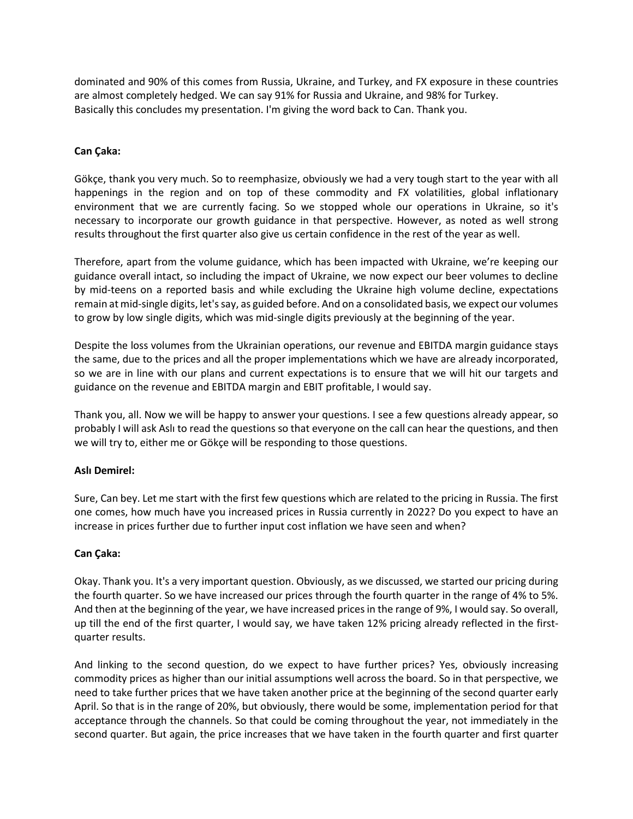dominated and 90% of this comes from Russia, Ukraine, and Turkey, and FX exposure in these countries are almost completely hedged. We can say 91% for Russia and Ukraine, and 98% for Turkey. Basically this concludes my presentation. I'm giving the word back to Can. Thank you.

## **Can Çaka:**

Gökçe, thank you very much. So to reemphasize, obviously we had a very tough start to the year with all happenings in the region and on top of these commodity and FX volatilities, global inflationary environment that we are currently facing. So we stopped whole our operations in Ukraine, so it's necessary to incorporate our growth guidance in that perspective. However, as noted as well strong results throughout the first quarter also give us certain confidence in the rest of the year as well.

Therefore, apart from the volume guidance, which has been impacted with Ukraine, we're keeping our guidance overall intact, so including the impact of Ukraine, we now expect our beer volumes to decline by mid-teens on a reported basis and while excluding the Ukraine high volume decline, expectations remain at mid-single digits, let's say, as guided before. And on a consolidated basis, we expect our volumes to grow by low single digits, which was mid-single digits previously at the beginning of the year.

Despite the loss volumes from the Ukrainian operations, our revenue and EBITDA margin guidance stays the same, due to the prices and all the proper implementations which we have are already incorporated, so we are in line with our plans and current expectations is to ensure that we will hit our targets and guidance on the revenue and EBITDA margin and EBIT profitable, I would say.

Thank you, all. Now we will be happy to answer your questions. I see a few questions already appear, so probably I will ask Aslı to read the questions so that everyone on the call can hear the questions, and then we will try to, either me or Gökçe will be responding to those questions.

## **Aslı Demirel:**

Sure, Can bey. Let me start with the first few questions which are related to the pricing in Russia. The first one comes, how much have you increased prices in Russia currently in 2022? Do you expect to have an increase in prices further due to further input cost inflation we have seen and when?

## **Can Çaka:**

Okay. Thank you. It's a very important question. Obviously, as we discussed, we started our pricing during the fourth quarter. So we have increased our prices through the fourth quarter in the range of 4% to 5%. And then at the beginning of the year, we have increased prices in the range of 9%, I would say. So overall, up till the end of the first quarter, I would say, we have taken 12% pricing already reflected in the firstquarter results.

And linking to the second question, do we expect to have further prices? Yes, obviously increasing commodity prices as higher than our initial assumptions well across the board. So in that perspective, we need to take further prices that we have taken another price at the beginning of the second quarter early April. So that is in the range of 20%, but obviously, there would be some, implementation period for that acceptance through the channels. So that could be coming throughout the year, not immediately in the second quarter. But again, the price increases that we have taken in the fourth quarter and first quarter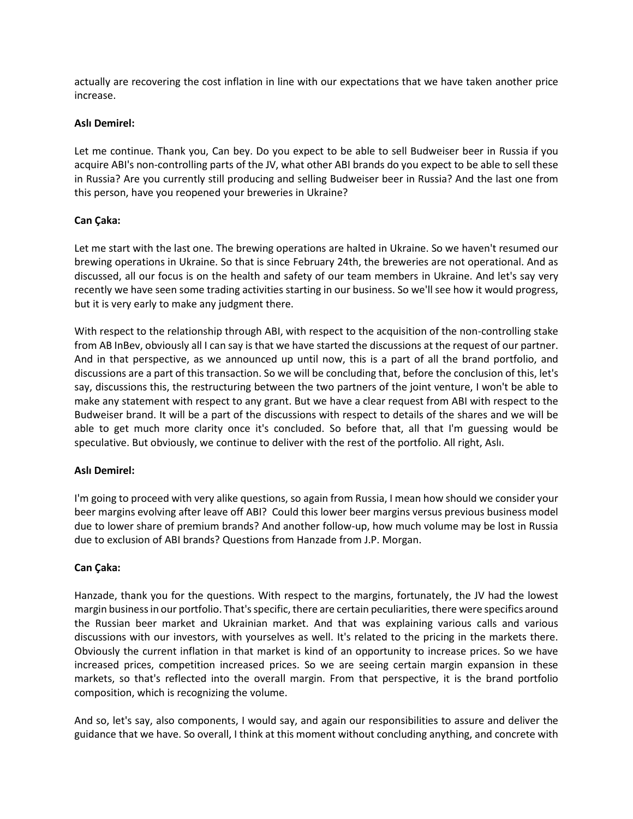actually are recovering the cost inflation in line with our expectations that we have taken another price increase.

#### **Aslı Demirel:**

Let me continue. Thank you, Can bey. Do you expect to be able to sell Budweiser beer in Russia if you acquire ABI's non-controlling parts of the JV, what other ABI brands do you expect to be able to sell these in Russia? Are you currently still producing and selling Budweiser beer in Russia? And the last one from this person, have you reopened your breweries in Ukraine?

## **Can Çaka:**

Let me start with the last one. The brewing operations are halted in Ukraine. So we haven't resumed our brewing operations in Ukraine. So that is since February 24th, the breweries are not operational. And as discussed, all our focus is on the health and safety of our team members in Ukraine. And let's say very recently we have seen some trading activities starting in our business. So we'll see how it would progress, but it is very early to make any judgment there.

With respect to the relationship through ABI, with respect to the acquisition of the non-controlling stake from AB InBev, obviously all I can say is that we have started the discussions at the request of our partner. And in that perspective, as we announced up until now, this is a part of all the brand portfolio, and discussions are a part of this transaction. So we will be concluding that, before the conclusion of this, let's say, discussions this, the restructuring between the two partners of the joint venture, I won't be able to make any statement with respect to any grant. But we have a clear request from ABI with respect to the Budweiser brand. It will be a part of the discussions with respect to details of the shares and we will be able to get much more clarity once it's concluded. So before that, all that I'm guessing would be speculative. But obviously, we continue to deliver with the rest of the portfolio. All right, Aslı.

## **Aslı Demirel:**

I'm going to proceed with very alike questions, so again from Russia, I mean how should we consider your beer margins evolving after leave off ABI? Could this lower beer margins versus previous business model due to lower share of premium brands? And another follow-up, how much volume may be lost in Russia due to exclusion of ABI brands? Questions from Hanzade from J.P. Morgan.

## **Can Çaka:**

Hanzade, thank you for the questions. With respect to the margins, fortunately, the JV had the lowest margin business in our portfolio. That's specific, there are certain peculiarities, there were specifics around the Russian beer market and Ukrainian market. And that was explaining various calls and various discussions with our investors, with yourselves as well. It's related to the pricing in the markets there. Obviously the current inflation in that market is kind of an opportunity to increase prices. So we have increased prices, competition increased prices. So we are seeing certain margin expansion in these markets, so that's reflected into the overall margin. From that perspective, it is the brand portfolio composition, which is recognizing the volume.

And so, let's say, also components, I would say, and again our responsibilities to assure and deliver the guidance that we have. So overall, I think at this moment without concluding anything, and concrete with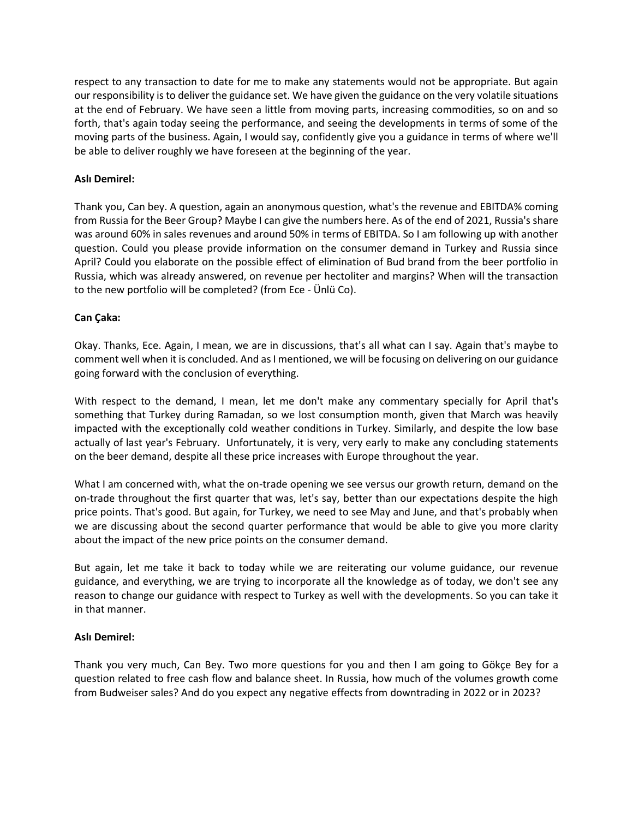respect to any transaction to date for me to make any statements would not be appropriate. But again our responsibility is to deliver the guidance set. We have given the guidance on the very volatile situations at the end of February. We have seen a little from moving parts, increasing commodities, so on and so forth, that's again today seeing the performance, and seeing the developments in terms of some of the moving parts of the business. Again, I would say, confidently give you a guidance in terms of where we'll be able to deliver roughly we have foreseen at the beginning of the year.

# **Aslı Demirel:**

Thank you, Can bey. A question, again an anonymous question, what's the revenue and EBITDA% coming from Russia for the Beer Group? Maybe I can give the numbers here. As of the end of 2021, Russia's share was around 60% in sales revenues and around 50% in terms of EBITDA. So I am following up with another question. Could you please provide information on the consumer demand in Turkey and Russia since April? Could you elaborate on the possible effect of elimination of Bud brand from the beer portfolio in Russia, which was already answered, on revenue per hectoliter and margins? When will the transaction to the new portfolio will be completed? (from Ece - Ünlü Co).

# **Can Çaka:**

Okay. Thanks, Ece. Again, I mean, we are in discussions, that's all what can I say. Again that's maybe to comment well when it is concluded. And as I mentioned, we will be focusing on delivering on our guidance going forward with the conclusion of everything.

With respect to the demand, I mean, let me don't make any commentary specially for April that's something that Turkey during Ramadan, so we lost consumption month, given that March was heavily impacted with the exceptionally cold weather conditions in Turkey. Similarly, and despite the low base actually of last year's February. Unfortunately, it is very, very early to make any concluding statements on the beer demand, despite all these price increases with Europe throughout the year.

What I am concerned with, what the on-trade opening we see versus our growth return, demand on the on-trade throughout the first quarter that was, let's say, better than our expectations despite the high price points. That's good. But again, for Turkey, we need to see May and June, and that's probably when we are discussing about the second quarter performance that would be able to give you more clarity about the impact of the new price points on the consumer demand.

But again, let me take it back to today while we are reiterating our volume guidance, our revenue guidance, and everything, we are trying to incorporate all the knowledge as of today, we don't see any reason to change our guidance with respect to Turkey as well with the developments. So you can take it in that manner.

## **Aslı Demirel:**

Thank you very much, Can Bey. Two more questions for you and then I am going to Gökçe Bey for a question related to free cash flow and balance sheet. In Russia, how much of the volumes growth come from Budweiser sales? And do you expect any negative effects from downtrading in 2022 or in 2023?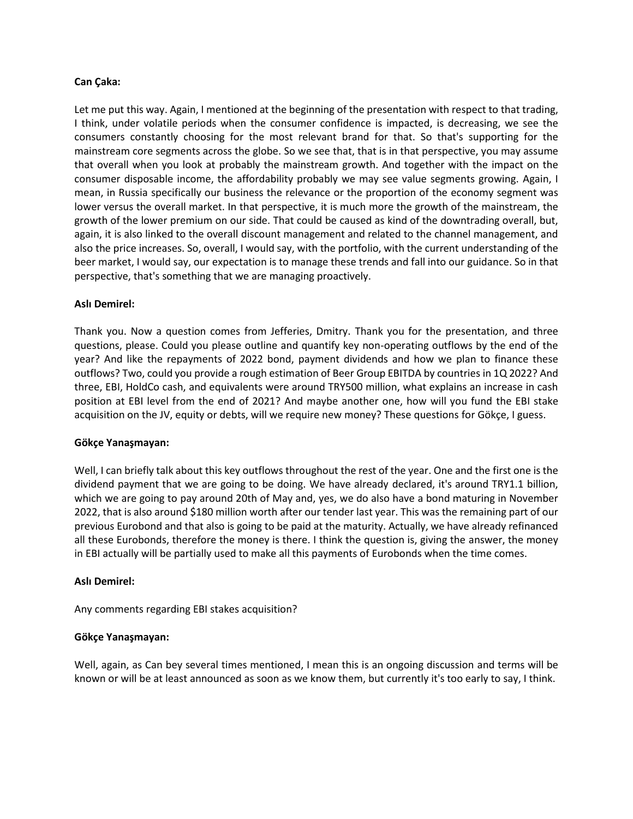#### **Can Çaka:**

Let me put this way. Again, I mentioned at the beginning of the presentation with respect to that trading, I think, under volatile periods when the consumer confidence is impacted, is decreasing, we see the consumers constantly choosing for the most relevant brand for that. So that's supporting for the mainstream core segments across the globe. So we see that, that is in that perspective, you may assume that overall when you look at probably the mainstream growth. And together with the impact on the consumer disposable income, the affordability probably we may see value segments growing. Again, I mean, in Russia specifically our business the relevance or the proportion of the economy segment was lower versus the overall market. In that perspective, it is much more the growth of the mainstream, the growth of the lower premium on our side. That could be caused as kind of the downtrading overall, but, again, it is also linked to the overall discount management and related to the channel management, and also the price increases. So, overall, I would say, with the portfolio, with the current understanding of the beer market, I would say, our expectation is to manage these trends and fall into our guidance. So in that perspective, that's something that we are managing proactively.

#### **Aslı Demirel:**

Thank you. Now a question comes from Jefferies, Dmitry. Thank you for the presentation, and three questions, please. Could you please outline and quantify key non-operating outflows by the end of the year? And like the repayments of 2022 bond, payment dividends and how we plan to finance these outflows? Two, could you provide a rough estimation of Beer Group EBITDA by countries in 1Q 2022? And three, EBI, HoldCo cash, and equivalents were around TRY500 million, what explains an increase in cash position at EBI level from the end of 2021? And maybe another one, how will you fund the EBI stake acquisition on the JV, equity or debts, will we require new money? These questions for Gökçe, I guess.

#### **Gökçe Yanaşmayan:**

Well, I can briefly talk about this key outflows throughout the rest of the year. One and the first one is the dividend payment that we are going to be doing. We have already declared, it's around TRY1.1 billion, which we are going to pay around 20th of May and, yes, we do also have a bond maturing in November 2022, that is also around \$180 million worth after our tender last year. This was the remaining part of our previous Eurobond and that also is going to be paid at the maturity. Actually, we have already refinanced all these Eurobonds, therefore the money is there. I think the question is, giving the answer, the money in EBI actually will be partially used to make all this payments of Eurobonds when the time comes.

#### **Aslı Demirel:**

Any comments regarding EBI stakes acquisition?

#### **Gökçe Yanaşmayan:**

Well, again, as Can bey several times mentioned, I mean this is an ongoing discussion and terms will be known or will be at least announced as soon as we know them, but currently it's too early to say, I think.